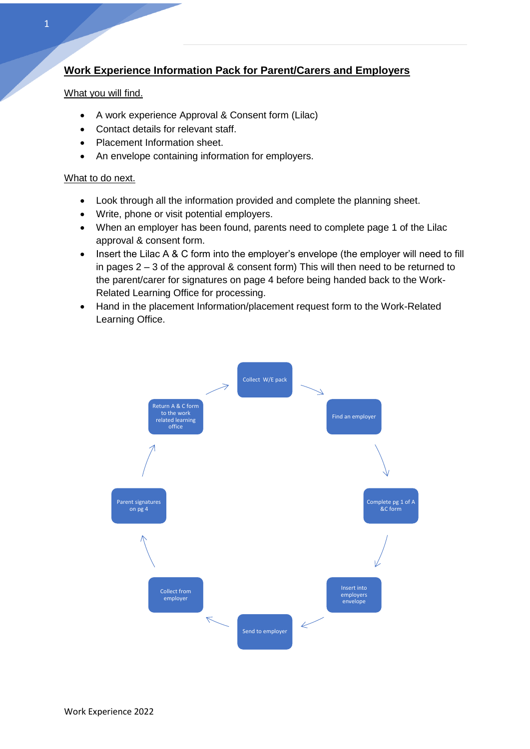# **Work Experience Information Pack for Parent/Carers and Employers**

### What you will find.

**1 |** P a g e

- A work experience Approval & Consent form (Lilac)
- Contact details for relevant staff.
- Placement Information sheet.
- An envelope containing information for employers.

#### What to do next.

- Look through all the information provided and complete the planning sheet.
- Write, phone or visit potential employers.
- When an employer has been found, parents need to complete page 1 of the Lilac approval & consent form.
- Insert the Lilac A & C form into the employer's envelope (the employer will need to fill in pages 2 – 3 of the approval & consent form) This will then need to be returned to the parent/carer for signatures on page 4 before being handed back to the Work-Related Learning Office for processing.
- Hand in the placement Information/placement request form to the Work-Related Learning Office.

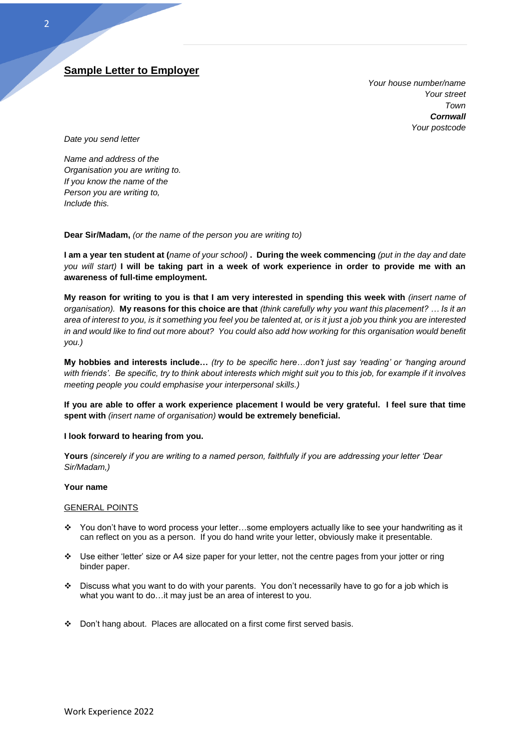## **Sample Letter to Employer**

*Your house number/name Your street Town Cornwall Your postcode*

*Date you send letter*

**2 |** P a g e

*Name and address of the Organisation you are writing to. If you know the name of the Person you are writing to, Include this.*

**Dear Sir/Madam,** *(or the name of the person you are writing to)*

**I am a year ten student at (***name of your school)* **. During the week commencing** *(put in the day and date you will start)* **I will be taking part in a week of work experience in order to provide me with an awareness of full-time employment.**

**My reason for writing to you is that I am very interested in spending this week with** *(insert name of organisation).* **My reasons for this choice are that** *(think carefully why you want this placement? … Is it an area of interest to you, is it something you feel you be talented at, or is it just a job you think you are interested in and would like to find out more about? You could also add how working for this organisation would benefit you.)*

**My hobbies and interests include…** *(try to be specific here…don't just say 'reading' or 'hanging around with friends'. Be specific, try to think about interests which might suit you to this job, for example if it involves meeting people you could emphasise your interpersonal skills.)*

**If you are able to offer a work experience placement I would be very grateful. I feel sure that time spent with** *(insert name of organisation)* **would be extremely beneficial.**

#### **I look forward to hearing from you.**

**Yours** *(sincerely if you are writing to a named person, faithfully if you are addressing your letter 'Dear Sir/Madam,)*

#### **Your name**

#### GENERAL POINTS

- ❖ You don't have to word process your letter…some employers actually like to see your handwriting as it can reflect on you as a person. If you do hand write your letter, obviously make it presentable.
- ❖ Use either 'letter' size or A4 size paper for your letter, not the centre pages from your jotter or ring binder paper.
- ❖ Discuss what you want to do with your parents. You don't necessarily have to go for a job which is what you want to do…it may just be an area of interest to you.
- ❖ Don't hang about. Places are allocated on a first come first served basis.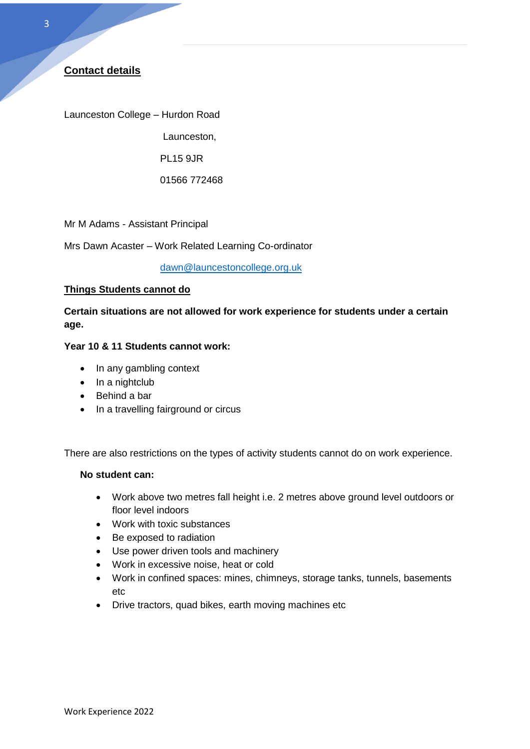**3 |** P a g e

Launceston College – Hurdon Road

Launceston,

PL15 9JR

01566 772468

Mr M Adams - Assistant Principal

Mrs Dawn Acaster – Work Related Learning Co-ordinator

[dawn@launcestoncollege.org.uk](mailto:dawn@launcestoncollege.org.uk)

## **Things Students cannot do**

**Certain situations are not allowed for work experience for students under a certain age.**

## **Year 10 & 11 Students cannot work:**

- In any gambling context
- In a nightclub
- Behind a bar
- In a travelling fairground or circus

There are also restrictions on the types of activity students cannot do on work experience.

#### **No student can:**

- Work above two metres fall height i.e. 2 metres above ground level outdoors or floor level indoors
- Work with toxic substances
- Be exposed to radiation
- Use power driven tools and machinery
- Work in excessive noise, heat or cold
- Work in confined spaces: mines, chimneys, storage tanks, tunnels, basements etc
- Drive tractors, quad bikes, earth moving machines etc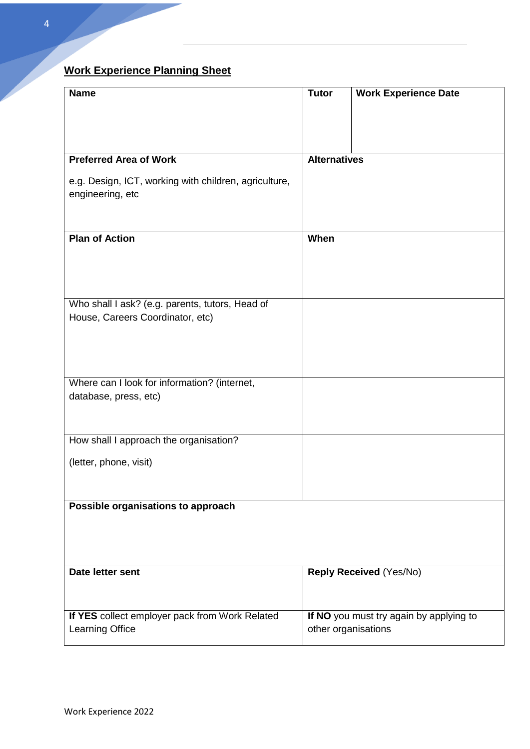# **Work Experience Planning Sheet**

| <b>Name</b>                                                               | <b>Tutor</b>        | <b>Work Experience Date</b>                                    |
|---------------------------------------------------------------------------|---------------------|----------------------------------------------------------------|
|                                                                           |                     |                                                                |
| <b>Preferred Area of Work</b>                                             | <b>Alternatives</b> |                                                                |
| e.g. Design, ICT, working with children, agriculture,<br>engineering, etc |                     |                                                                |
| <b>Plan of Action</b>                                                     | When                |                                                                |
|                                                                           |                     |                                                                |
| Who shall I ask? (e.g. parents, tutors, Head of                           |                     |                                                                |
| House, Careers Coordinator, etc)                                          |                     |                                                                |
|                                                                           |                     |                                                                |
| Where can I look for information? (internet,                              |                     |                                                                |
| database, press, etc)                                                     |                     |                                                                |
| How shall I approach the organisation?                                    |                     |                                                                |
| (letter, phone, visit)                                                    |                     |                                                                |
|                                                                           |                     |                                                                |
| Possible organisations to approach                                        |                     |                                                                |
|                                                                           |                     |                                                                |
| Date letter sent                                                          |                     | <b>Reply Received (Yes/No)</b>                                 |
| If YES collect employer pack from Work Related<br>Learning Office         |                     | If NO you must try again by applying to<br>other organisations |

**4 |** P a g e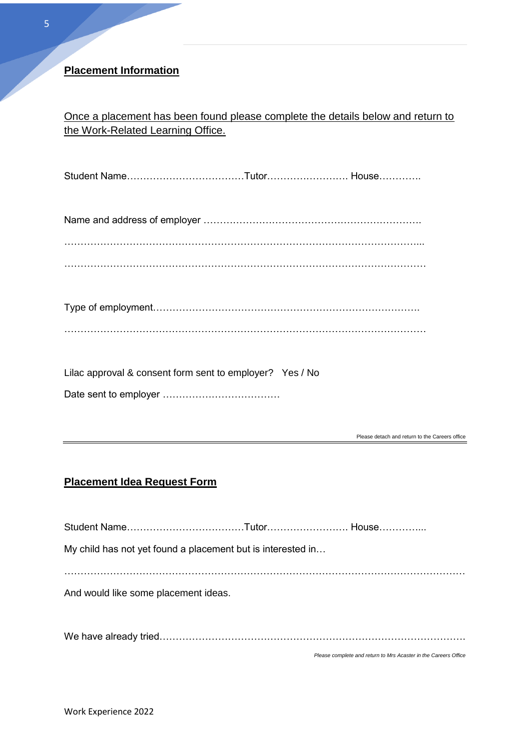# **Placement Information**

Once a placement has been found please complete the details below and return to the Work-Related Learning Office.

Student Name………………………………Tutor……………………. House………….

Name and address of employer ………………………………………………………….

………………………………………………………………………………………………...

…………………………………………………………………………………………………

| Lilac approval & consent form sent to employer? Yes / No |  |
|----------------------------------------------------------|--|
|                                                          |  |

Please detach and return to the Careers office

# **Placement Idea Request Form**

Student Name………………………………Tutor……………………. House…………... My child has not yet found a placement but is interested in… . The same independent of the same independent of the same independent of the same independent of the same independent of the same independent of the same independent of the same independent of the same independent of the And would like some placement ideas. We have already tried………………………………………………………………………………….

*Please complete and return to Mrs Acaster in the Careers Office*

**5 |** P a g e